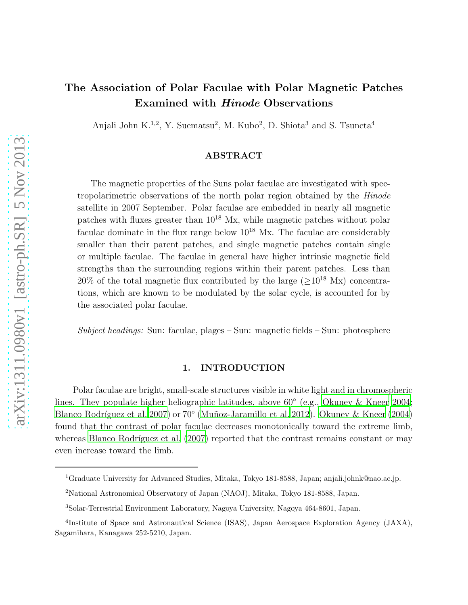# The Association of Polar Faculae with Polar Magnetic Patches Examined with Hinode Observations

Anjali John K.<sup>1,2</sup>, Y. Suematsu<sup>2</sup>, M. Kubo<sup>2</sup>, D. Shiota<sup>3</sup> and S. Tsuneta<sup>4</sup>

# ABSTRACT

The magnetic properties of the Suns polar faculae are investigated with spectropolarimetric observations of the north polar region obtained by the Hinode satellite in 2007 September. Polar faculae are embedded in nearly all magnetic patches with fluxes greater than 10<sup>18</sup> Mx, while magnetic patches without polar faculae dominate in the flux range below  $10^{18}$  Mx. The faculae are considerably smaller than their parent patches, and single magnetic patches contain single or multiple faculae. The faculae in general have higher intrinsic magnetic field strengths than the surrounding regions within their parent patches. Less than 20% of the total magnetic flux contributed by the large  $(>10^{18}$  Mx) concentrations, which are known to be modulated by the solar cycle, is accounted for by the associated polar faculae.

Subject headings: Sun: faculae, plages – Sun: magnetic fields – Sun: photosphere

# 1. INTRODUCTION

Polar faculae are bright, small-scale structures visible in white light and in chromospheric lines. They populate higher heliographic latitudes, above 60◦ (e.g., [Okunev & Kneer 2004;](#page-8-0) Blanco Rodríguez et al. 2007) or 70° (Muñoz-Jaramillo et al. 2012). [Okunev & Kneer \(2004\)](#page-8-0) found that the contrast of polar faculae decreases monotonically toward the extreme limb, whereas Blanco Rodríguez et al.  $(2007)$  reported that the contrast remains constant or may even increase toward the limb.

<sup>1</sup>Graduate University for Advanced Studies, Mitaka, Tokyo 181-8588, Japan; anjali.johnk@nao.ac.jp.

<sup>2</sup>National Astronomical Observatory of Japan (NAOJ), Mitaka, Tokyo 181-8588, Japan.

<sup>3</sup>Solar-Terrestrial Environment Laboratory, Nagoya University, Nagoya 464-8601, Japan.

<sup>&</sup>lt;sup>4</sup>Institute of Space and Astronautical Science (ISAS), Japan Aerospace Exploration Agency (JAXA), Sagamihara, Kanagawa 252-5210, Japan.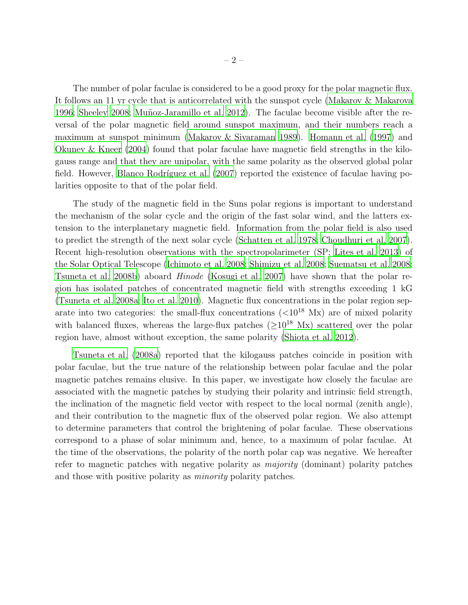The number of polar faculae is considered to be a good proxy for the polar magnetic flux. It follows an 11 yr cycle that is anticorrelated with the sunspot cycle [\(Makarov & Makarova](#page-7-1) [1996;](#page-7-1) [Sheeley 2008;](#page-8-2) Muñoz-Jaramillo et al. 2012). The faculae become visible after the reversal of the polar magnetic field around sunspot maximum, and their numbers reach a maximum at sunspot minimum [\(Makarov & Sivaraman 1989](#page-7-2)). [Homann et](#page-7-3) al. [\(1997\)](#page-7-3) and [Okunev & Kneer \(2004](#page-8-0)) found that polar faculae have magnetic field strengths in the kilogauss range and that they are unipolar, with the same polarity as the observed global polar field. However, Blanco Rodríguez et al.  $(2007)$  reported the existence of faculae having polarities opposite to that of the polar field.

The study of the magnetic field in the Suns polar regions is important to understand the mechanism of the solar cycle and the origin of the fast solar wind, and the latters extension to the interplanetary magnetic field. Information from the polar field is also used to predict the strength of the next solar cycle [\(Schatten et al. 1978;](#page-8-3) [Choudhuri et al. 2007](#page-7-4)). Recent high-resolution observations with the spectropolarimeter (SP; [Lites et al. 2013](#page-7-5)) of the Solar Optical Telescope [\(Ichimoto et al. 2008](#page-7-6); [Shimizu et al. 2008](#page-8-4); [Suematsu et al. 2008;](#page-8-5) [Tsuneta et al. 2008b](#page-8-6)) aboard Hinode [\(Kosugi et al. 2007\)](#page-7-7) have shown that the polar region has isolated patches of concentrated magnetic field with strengths exceeding 1 kG [\(Tsuneta et al. 2008a;](#page-8-7) [Ito et al. 2010\)](#page-7-8). Magnetic flux concentrations in the polar region separate into two categories: the small-flux concentrations  $(<10^{18}$  Mx) are of mixed polarity with balanced fluxes, whereas the large-flux patches ( $\geq 10^{18}$  Mx) scattered over the polar region have, almost without exception, the same polarity [\(Shiota et](#page-8-8) al. [2012\)](#page-8-8).

[Tsuneta et al. \(2008a\)](#page-8-7) reported that the kilogauss patches coincide in position with polar faculae, but the true nature of the relationship between polar faculae and the polar magnetic patches remains elusive. In this paper, we investigate how closely the faculae are associated with the magnetic patches by studying their polarity and intrinsic field strength, the inclination of the magnetic field vector with respect to the local normal (zenith angle), and their contribution to the magnetic flux of the observed polar region. We also attempt to determine parameters that control the brightening of polar faculae. These observations correspond to a phase of solar minimum and, hence, to a maximum of polar faculae. At the time of the observations, the polarity of the north polar cap was negative. We hereafter refer to magnetic patches with negative polarity as majority (dominant) polarity patches and those with positive polarity as minority polarity patches.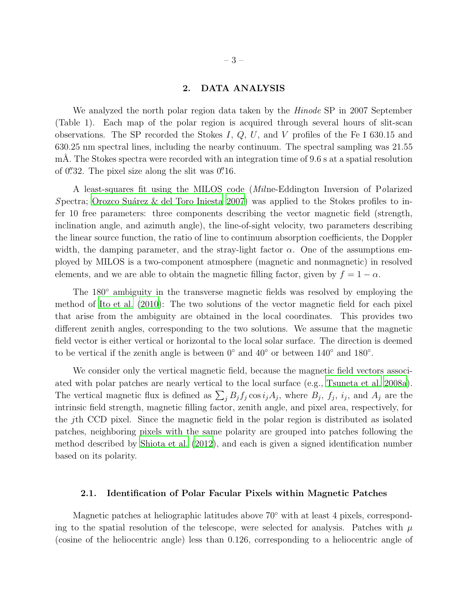## 2. DATA ANALYSIS

We analyzed the north polar region data taken by the *Hinode* SP in 2007 September (Table 1). Each map of the polar region is acquired through several hours of slit-scan observations. The SP recorded the Stokes I,  $Q$ ,  $U$ , and  $V$  profiles of the Fe I 630.15 and 630.25 nm spectral lines, including the nearby continuum. The spectral sampling was 21.55 mÅ. The Stokes spectra were recorded with an integration time of 9.6 s at a spatial resolution of  $0''32$ . The pixel size along the slit was  $0''16$ .

A least-squares fit using the MILOS code (Milne-Eddington Inversion of Polarized Spectra; Orozco Suárez & del Toro Iniesta 2007) was applied to the Stokes profiles to infer 10 free parameters: three components describing the vector magnetic field (strength, inclination angle, and azimuth angle), the line-of-sight velocity, two parameters describing the linear source function, the ratio of line to continuum absorption coefficients, the Doppler width, the damping parameter, and the stray-light factor  $\alpha$ . One of the assumptions employed by MILOS is a two-component atmosphere (magnetic and nonmagnetic) in resolved elements, and we are able to obtain the magnetic filling factor, given by  $f = 1 - \alpha$ .

The 180<sup>°</sup> ambiguity in the transverse magnetic fields was resolved by employing the method of [Ito et al. \(2010](#page-7-8)): The two solutions of the vector magnetic field for each pixel that arise from the ambiguity are obtained in the local coordinates. This provides two different zenith angles, corresponding to the two solutions. We assume that the magnetic field vector is either vertical or horizontal to the local solar surface. The direction is deemed to be vertical if the zenith angle is between  $0^{\circ}$  and  $40^{\circ}$  or between  $140^{\circ}$  and  $180^{\circ}$ .

We consider only the vertical magnetic field, because the magnetic field vectors associated with polar patches are nearly vertical to the local surface (e.g., [Tsuneta et al. 2008a](#page-8-7)). The vertical magnetic flux is defined as  $\sum_j B_j f_j \cos i_j A_j$ , where  $B_j$ ,  $f_j$ ,  $i_j$ , and  $A_j$  are the intrinsic field strength, magnetic filling factor, zenith angle, and pixel area, respectively, for the jth CCD pixel. Since the magnetic field in the polar region is distributed as isolated patches, neighboring pixels with the same polarity are grouped into patches following the method described by [Shiota et al. \(2012\)](#page-8-8), and each is given a signed identification number based on its polarity.

#### 2.1. Identification of Polar Facular Pixels within Magnetic Patches

Magnetic patches at heliographic latitudes above 70<sup>°</sup> with at least 4 pixels, corresponding to the spatial resolution of the telescope, were selected for analysis. Patches with  $\mu$ (cosine of the heliocentric angle) less than 0.126, corresponding to a heliocentric angle of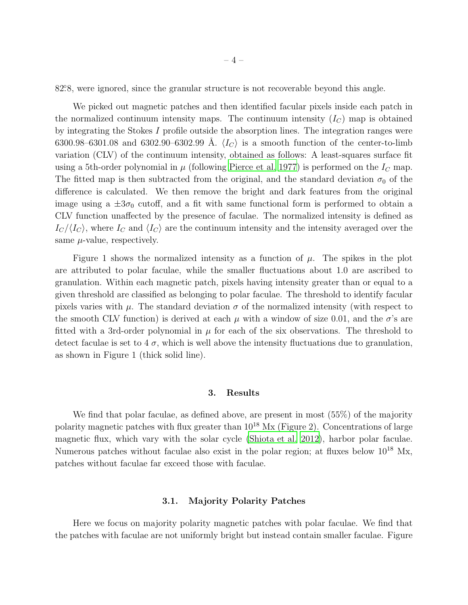82.8, were ignored, since the granular structure is not recoverable beyond this angle.

We picked out magnetic patches and then identified facular pixels inside each patch in the normalized continuum intensity maps. The continuum intensity  $(I_C)$  map is obtained by integrating the Stokes I profile outside the absorption lines. The integration ranges were 6300.98–6301.08 and 6302.90–6302.99 Å.  $\langle I_C \rangle$  is a smooth function of the center-to-limb variation (CLV) of the continuum intensity, obtained as follows: A least-squares surface fit using a 5th-order polynomial in  $\mu$  (following [Pierce et al. 1977](#page-8-10)) is performed on the  $I_C$  map. The fitted map is then subtracted from the original, and the standard deviation  $\sigma_0$  of the difference is calculated. We then remove the bright and dark features from the original image using a  $\pm 3\sigma_0$  cutoff, and a fit with same functional form is performed to obtain a CLV function unaffected by the presence of faculae. The normalized intensity is defined as  $I_c/\langle I_c \rangle$ , where  $I_c$  and  $\langle I_c \rangle$  are the continuum intensity and the intensity averaged over the same  $\mu$ -value, respectively.

Figure 1 shows the normalized intensity as a function of  $\mu$ . The spikes in the plot are attributed to polar faculae, while the smaller fluctuations about 1.0 are ascribed to granulation. Within each magnetic patch, pixels having intensity greater than or equal to a given threshold are classified as belonging to polar faculae. The threshold to identify facular pixels varies with  $\mu$ . The standard deviation  $\sigma$  of the normalized intensity (with respect to the smooth CLV function) is derived at each  $\mu$  with a window of size 0.01, and the  $\sigma$ 's are fitted with a 3rd-order polynomial in  $\mu$  for each of the six observations. The threshold to detect faculae is set to  $4\sigma$ , which is well above the intensity fluctuations due to granulation, as shown in Figure 1 (thick solid line).

#### 3. Results

We find that polar faculae, as defined above, are present in most (55%) of the majority polarity magnetic patches with flux greater than  $10^{18}$  Mx (Figure 2). Concentrations of large magnetic flux, which vary with the solar cycle [\(Shiota et al. 2012](#page-8-8)), harbor polar faculae. Numerous patches without faculae also exist in the polar region; at fluxes below  $10^{18}$  Mx, patches without faculae far exceed those with faculae.

## 3.1. Majority Polarity Patches

Here we focus on majority polarity magnetic patches with polar faculae. We find that the patches with faculae are not uniformly bright but instead contain smaller faculae. Figure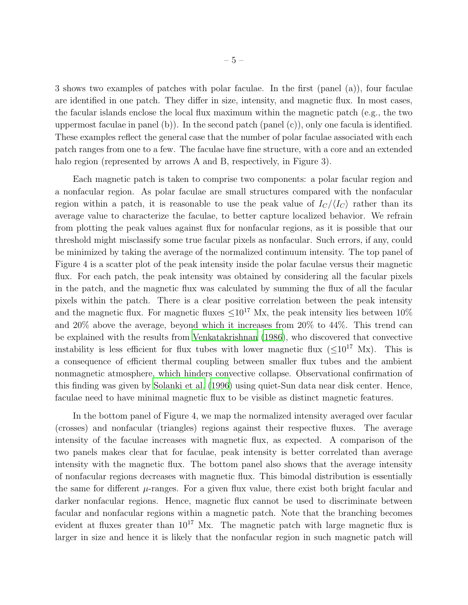3 shows two examples of patches with polar faculae. In the first (panel (a)), four faculae are identified in one patch. They differ in size, intensity, and magnetic flux. In most cases, the facular islands enclose the local flux maximum within the magnetic patch (e.g., the two uppermost faculae in panel (b)). In the second patch (panel (c)), only one facula is identified. These examples reflect the general case that the number of polar faculae associated with each patch ranges from one to a few. The faculae have fine structure, with a core and an extended halo region (represented by arrows A and B, respectively, in Figure 3).

Each magnetic patch is taken to comprise two components: a polar facular region and a nonfacular region. As polar faculae are small structures compared with the nonfacular region within a patch, it is reasonable to use the peak value of  $I_C/\langle I_C \rangle$  rather than its average value to characterize the faculae, to better capture localized behavior. We refrain from plotting the peak values against flux for nonfacular regions, as it is possible that our threshold might misclassify some true facular pixels as nonfacular. Such errors, if any, could be minimized by taking the average of the normalized continuum intensity. The top panel of Figure 4 is a scatter plot of the peak intensity inside the polar faculae versus their magnetic flux. For each patch, the peak intensity was obtained by considering all the facular pixels in the patch, and the magnetic flux was calculated by summing the flux of all the facular pixels within the patch. There is a clear positive correlation between the peak intensity and the magnetic flux. For magnetic fluxes  $\leq 10^{17}$  Mx, the peak intensity lies between 10% and 20% above the average, beyond which it increases from 20% to 44%. This trend can be explained with the results from [Venkatakrishnan \(1986](#page-8-11)), who discovered that convective instability is less efficient for flux tubes with lower magnetic flux  $(<10^{17}$  Mx). This is a consequence of efficient thermal coupling between smaller flux tubes and the ambient nonmagnetic atmosphere, which hinders convective collapse. Observational confirmation of this finding was given by [Solanki et al. \(1996\)](#page-8-12) using quiet-Sun data near disk center. Hence, faculae need to have minimal magnetic flux to be visible as distinct magnetic features.

In the bottom panel of Figure 4, we map the normalized intensity averaged over facular (crosses) and nonfacular (triangles) regions against their respective fluxes. The average intensity of the faculae increases with magnetic flux, as expected. A comparison of the two panels makes clear that for faculae, peak intensity is better correlated than average intensity with the magnetic flux. The bottom panel also shows that the average intensity of nonfacular regions decreases with magnetic flux. This bimodal distribution is essentially the same for different  $\mu$ -ranges. For a given flux value, there exist both bright facular and darker nonfacular regions. Hence, magnetic flux cannot be used to discriminate between facular and nonfacular regions within a magnetic patch. Note that the branching becomes evident at fluxes greater than  $10^{17}$  Mx. The magnetic patch with large magnetic flux is larger in size and hence it is likely that the nonfacular region in such magnetic patch will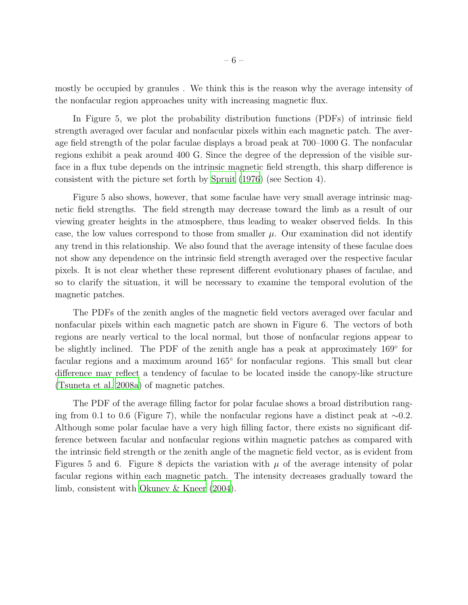mostly be occupied by granules . We think this is the reason why the average intensity of the nonfacular region approaches unity with increasing magnetic flux.

In Figure 5, we plot the probability distribution functions (PDFs) of intrinsic field strength averaged over facular and nonfacular pixels within each magnetic patch. The average field strength of the polar faculae displays a broad peak at 700–1000 G. The nonfacular regions exhibit a peak around 400 G. Since the degree of the depression of the visible surface in a flux tube depends on the intrinsic magnetic field strength, this sharp difference is consistent with the picture set forth by [Spruit \(1976](#page-8-13)) (see Section 4).

Figure 5 also shows, however, that some faculae have very small average intrinsic magnetic field strengths. The field strength may decrease toward the limb as a result of our viewing greater heights in the atmosphere, thus leading to weaker observed fields. In this case, the low values correspond to those from smaller  $\mu$ . Our examination did not identify any trend in this relationship. We also found that the average intensity of these faculae does not show any dependence on the intrinsic field strength averaged over the respective facular pixels. It is not clear whether these represent different evolutionary phases of faculae, and so to clarify the situation, it will be necessary to examine the temporal evolution of the magnetic patches.

The PDFs of the zenith angles of the magnetic field vectors averaged over facular and nonfacular pixels within each magnetic patch are shown in Figure 6. The vectors of both regions are nearly vertical to the local normal, but those of nonfacular regions appear to be slightly inclined. The PDF of the zenith angle has a peak at approximately 169<sup>°</sup> for facular regions and a maximum around  $165^{\circ}$  for nonfacular regions. This small but clear difference may reflect a tendency of faculae to be located inside the canopy-like structure [\(Tsuneta et al. 2008a](#page-8-7)) of magnetic patches.

The PDF of the average filling factor for polar faculae shows a broad distribution ranging from 0.1 to 0.6 (Figure 7), while the nonfacular regions have a distinct peak at ∼0.2. Although some polar faculae have a very high filling factor, there exists no significant difference between facular and nonfacular regions within magnetic patches as compared with the intrinsic field strength or the zenith angle of the magnetic field vector, as is evident from Figures 5 and 6. Figure 8 depicts the variation with  $\mu$  of the average intensity of polar facular regions within each magnetic patch. The intensity decreases gradually toward the limb, consistent with [Okunev & Kneer \(2004\)](#page-8-0).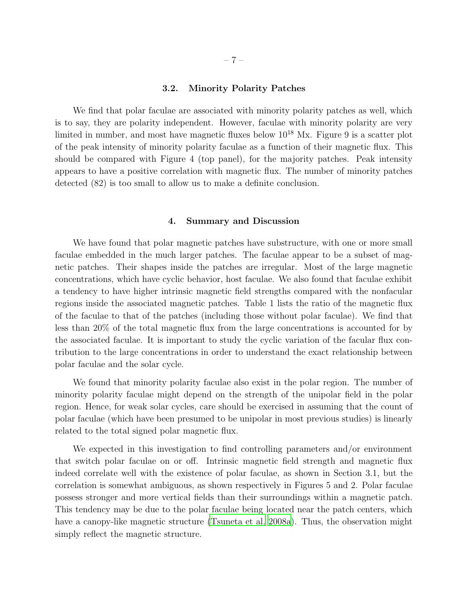## 3.2. Minority Polarity Patches

We find that polar faculae are associated with minority polarity patches as well, which is to say, they are polarity independent. However, faculae with minority polarity are very limited in number, and most have magnetic fluxes below  $10^{18}$  Mx. Figure 9 is a scatter plot of the peak intensity of minority polarity faculae as a function of their magnetic flux. This should be compared with Figure 4 (top panel), for the majority patches. Peak intensity appears to have a positive correlation with magnetic flux. The number of minority patches detected (82) is too small to allow us to make a definite conclusion.

#### 4. Summary and Discussion

We have found that polar magnetic patches have substructure, with one or more small faculae embedded in the much larger patches. The faculae appear to be a subset of magnetic patches. Their shapes inside the patches are irregular. Most of the large magnetic concentrations, which have cyclic behavior, host faculae. We also found that faculae exhibit a tendency to have higher intrinsic magnetic field strengths compared with the nonfacular regions inside the associated magnetic patches. Table 1 lists the ratio of the magnetic flux of the faculae to that of the patches (including those without polar faculae). We find that less than 20% of the total magnetic flux from the large concentrations is accounted for by the associated faculae. It is important to study the cyclic variation of the facular flux contribution to the large concentrations in order to understand the exact relationship between polar faculae and the solar cycle.

We found that minority polarity faculae also exist in the polar region. The number of minority polarity faculae might depend on the strength of the unipolar field in the polar region. Hence, for weak solar cycles, care should be exercised in assuming that the count of polar faculae (which have been presumed to be unipolar in most previous studies) is linearly related to the total signed polar magnetic flux.

We expected in this investigation to find controlling parameters and/or environment that switch polar faculae on or off. Intrinsic magnetic field strength and magnetic flux indeed correlate well with the existence of polar faculae, as shown in Section 3.1, but the correlation is somewhat ambiguous, as shown respectively in Figures 5 and 2. Polar faculae possess stronger and more vertical fields than their surroundings within a magnetic patch. This tendency may be due to the polar faculae being located near the patch centers, which have a canopy-like magnetic structure [\(Tsuneta et al. 2008a\)](#page-8-7). Thus, the observation might simply reflect the magnetic structure.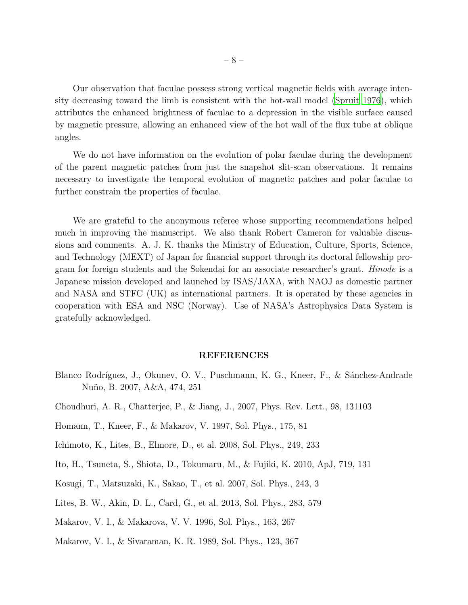Our observation that faculae possess strong vertical magnetic fields with average intensity decreasing toward the limb is consistent with the hot-wall model [\(Spruit 1976](#page-8-13)), which attributes the enhanced brightness of faculae to a depression in the visible surface caused by magnetic pressure, allowing an enhanced view of the hot wall of the flux tube at oblique angles.

We do not have information on the evolution of polar faculae during the development of the parent magnetic patches from just the snapshot slit-scan observations. It remains necessary to investigate the temporal evolution of magnetic patches and polar faculae to further constrain the properties of faculae.

We are grateful to the anonymous referee whose supporting recommendations helped much in improving the manuscript. We also thank Robert Cameron for valuable discussions and comments. A. J. K. thanks the Ministry of Education, Culture, Sports, Science, and Technology (MEXT) of Japan for financial support through its doctoral fellowship program for foreign students and the Sokendai for an associate researcher's grant. Hinode is a Japanese mission developed and launched by ISAS/JAXA, with NAOJ as domestic partner and NASA and STFC (UK) as international partners. It is operated by these agencies in cooperation with ESA and NSC (Norway). Use of NASA's Astrophysics Data System is gratefully acknowledged.

#### REFERENCES

- <span id="page-7-0"></span>Blanco Rodríguez, J., Okunev, O. V., Puschmann, K. G., Kneer, F., & Sánchez-Andrade Nu˜no, B. 2007, A&A, 474, 251
- <span id="page-7-4"></span>Choudhuri, A. R., Chatterjee, P., & Jiang, J., 2007, Phys. Rev. Lett., 98, 131103
- <span id="page-7-3"></span>Homann, T., Kneer, F., & Makarov, V. 1997, Sol. Phys., 175, 81
- <span id="page-7-6"></span>Ichimoto, K., Lites, B., Elmore, D., et al. 2008, Sol. Phys., 249, 233
- <span id="page-7-8"></span>Ito, H., Tsuneta, S., Shiota, D., Tokumaru, M., & Fujiki, K. 2010, ApJ, 719, 131
- <span id="page-7-7"></span>Kosugi, T., Matsuzaki, K., Sakao, T., et al. 2007, Sol. Phys., 243, 3
- <span id="page-7-5"></span>Lites, B. W., Akin, D. L., Card, G., et al. 2013, Sol. Phys., 283, 579
- <span id="page-7-1"></span>Makarov, V. I., & Makarova, V. V. 1996, Sol. Phys., 163, 267
- <span id="page-7-2"></span>Makarov, V. I., & Sivaraman, K. R. 1989, Sol. Phys., 123, 367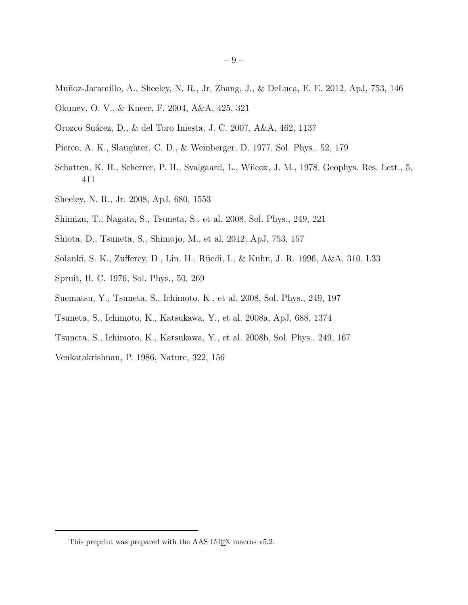- <span id="page-8-1"></span>Muñoz-Jaramillo, A., Sheeley, N. R., Jr, Zhang, J., & DeLuca, E. E. 2012, ApJ, 753, 146
- <span id="page-8-0"></span>Okunev, O. V., & Kneer, F. 2004, A&A, 425, 321
- <span id="page-8-9"></span>Orozco Su´arez, D., & del Toro Iniesta, J. C. 2007, A&A, 462, 1137
- <span id="page-8-10"></span>Pierce, A. K., Slaughter, C. D., & Weinberger, D. 1977, Sol. Phys., 52, 179
- <span id="page-8-3"></span>Schatten, K. H., Scherrer, P. H., Svalgaard, L., Wilcox, J. M., 1978, Geophys. Res. Lett., 5, 411
- <span id="page-8-2"></span>Sheeley, N. R., Jr. 2008, ApJ, 680, 1553
- <span id="page-8-4"></span>Shimizu, T., Nagata, S., Tsuneta, S., et al. 2008, Sol. Phys., 249, 221
- <span id="page-8-8"></span>Shiota, D., Tsuneta, S., Shimojo, M., et al. 2012, ApJ, 753, 157
- <span id="page-8-12"></span>Solanki, S. K., Zufferey, D., Lin, H., R¨uedi, I., & Kuhn, J. R. 1996, A&A, 310, L33
- <span id="page-8-13"></span>Spruit, H. C. 1976, Sol. Phys., 50, 269
- <span id="page-8-5"></span>Suematsu, Y., Tsuneta, S., Ichimoto, K., et al. 2008, Sol. Phys., 249, 197
- <span id="page-8-7"></span>Tsuneta, S., Ichimoto, K., Katsukawa, Y., et al. 2008a, ApJ, 688, 1374
- <span id="page-8-6"></span>Tsuneta, S., Ichimoto, K., Katsukawa, Y., et al. 2008b, Sol. Phys., 249, 167
- <span id="page-8-11"></span>Venkatakrishnan, P. 1986, Nature, 322, 156

This preprint was prepared with the AAS IATEX macros v5.2.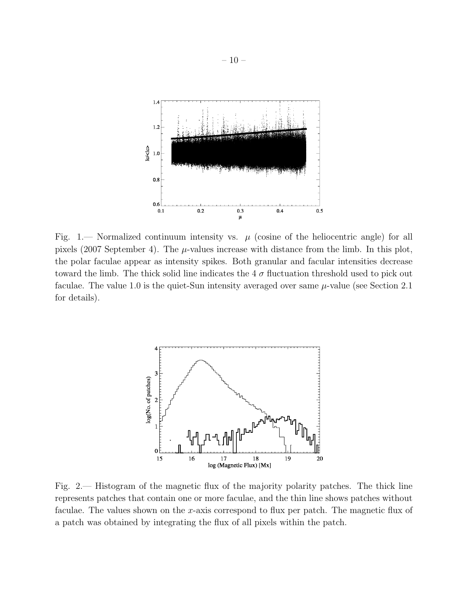

Fig. 1.— Normalized continuum intensity vs.  $\mu$  (cosine of the heliocentric angle) for all pixels (2007 September 4). The  $\mu$ -values increase with distance from the limb. In this plot, the polar faculae appear as intensity spikes. Both granular and facular intensities decrease toward the limb. The thick solid line indicates the  $4\sigma$  fluctuation threshold used to pick out faculae. The value 1.0 is the quiet-Sun intensity averaged over same  $\mu$ -value (see Section 2.1) for details).



Fig. 2.— Histogram of the magnetic flux of the majority polarity patches. The thick line represents patches that contain one or more faculae, and the thin line shows patches without faculae. The values shown on the x-axis correspond to flux per patch. The magnetic flux of a patch was obtained by integrating the flux of all pixels within the patch.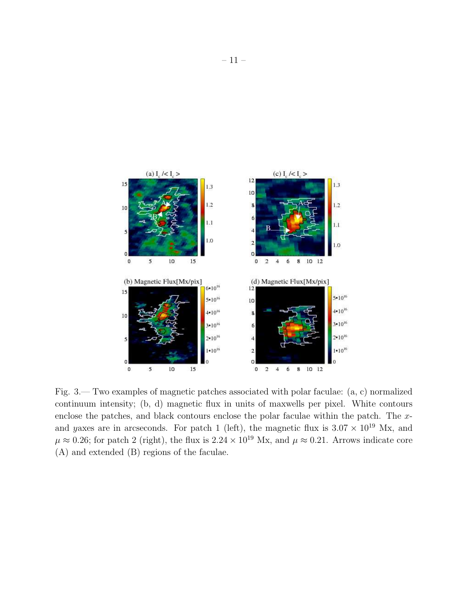

Fig. 3.— Two examples of magnetic patches associated with polar faculae: (a, c) normalized continuum intensity; (b, d) magnetic flux in units of maxwells per pixel. White contours enclose the patches, and black contours enclose the polar faculae within the patch. The  $x$ and yaxes are in arcseconds. For patch 1 (left), the magnetic flux is  $3.07 \times 10^{19}$  Mx, and  $\mu \approx 0.26$ ; for patch 2 (right), the flux is  $2.24 \times 10^{19}$  Mx, and  $\mu \approx 0.21$ . Arrows indicate core (A) and extended (B) regions of the faculae.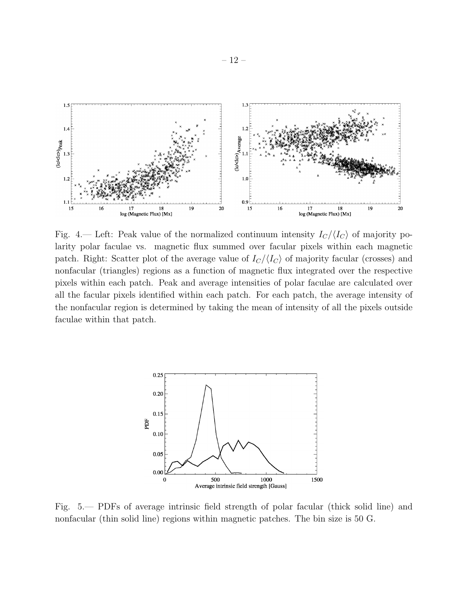

Fig. 4.— Left: Peak value of the normalized continuum intensity  $I_C/\langle I_C \rangle$  of majority polarity polar faculae vs. magnetic flux summed over facular pixels within each magnetic patch. Right: Scatter plot of the average value of  $I_C/\langle I_C \rangle$  of majority facular (crosses) and nonfacular (triangles) regions as a function of magnetic flux integrated over the respective pixels within each patch. Peak and average intensities of polar faculae are calculated over all the facular pixels identified within each patch. For each patch, the average intensity of the nonfacular region is determined by taking the mean of intensity of all the pixels outside faculae within that patch.



Fig. 5.— PDFs of average intrinsic field strength of polar facular (thick solid line) and nonfacular (thin solid line) regions within magnetic patches. The bin size is 50 G.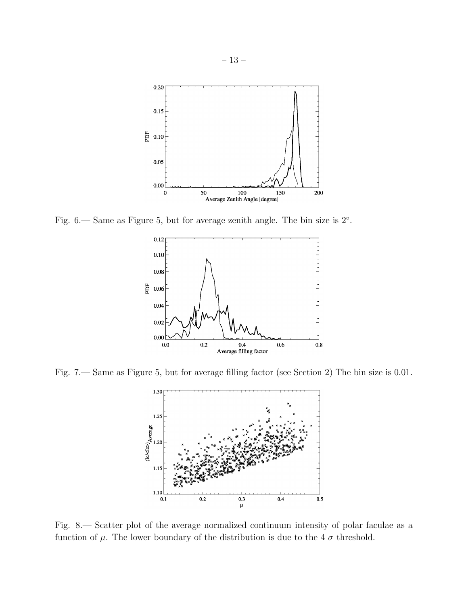

Fig. 6.— Same as Figure 5, but for average zenith angle. The bin size is  $2^{\circ}$ .



Fig. 7.— Same as Figure 5, but for average filling factor (see Section 2) The bin size is 0.01.



Fig. 8.— Scatter plot of the average normalized continuum intensity of polar faculae as a function of  $\mu$ . The lower boundary of the distribution is due to the 4  $\sigma$  threshold.